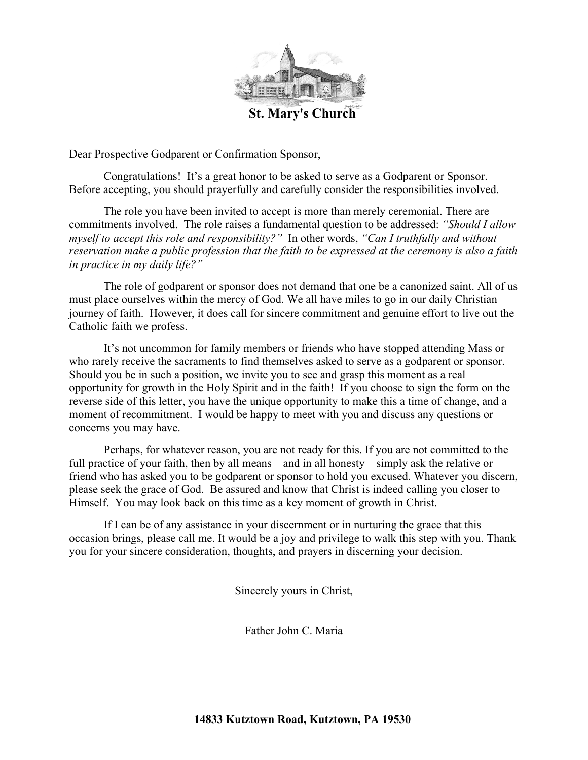

**St. Mary's Church**

Dear Prospective Godparent or Confirmation Sponsor,

Congratulations! It's a great honor to be asked to serve as a Godparent or Sponsor. Before accepting, you should prayerfully and carefully consider the responsibilities involved.

The role you have been invited to accept is more than merely ceremonial. There are commitments involved. The role raises a fundamental question to be addressed: *"Should I allow myself to accept this role and responsibility?"* In other words, *"Can I truthfully and without reservation make a public profession that the faith to be expressed at the ceremony is also a faith in practice in my daily life?"*

The role of godparent or sponsor does not demand that one be a canonized saint. All of us must place ourselves within the mercy of God. We all have miles to go in our daily Christian journey of faith. However, it does call for sincere commitment and genuine effort to live out the Catholic faith we profess.

It's not uncommon for family members or friends who have stopped attending Mass or who rarely receive the sacraments to find themselves asked to serve as a godparent or sponsor. Should you be in such a position, we invite you to see and grasp this moment as a real opportunity for growth in the Holy Spirit and in the faith! If you choose to sign the form on the reverse side of this letter, you have the unique opportunity to make this a time of change, and a moment of recommitment. I would be happy to meet with you and discuss any questions or concerns you may have.

Perhaps, for whatever reason, you are not ready for this. If you are not committed to the full practice of your faith, then by all means—and in all honesty—simply ask the relative or friend who has asked you to be godparent or sponsor to hold you excused. Whatever you discern, please seek the grace of God. Be assured and know that Christ is indeed calling you closer to Himself. You may look back on this time as a key moment of growth in Christ.

If I can be of any assistance in your discernment or in nurturing the grace that this occasion brings, please call me. It would be a joy and privilege to walk this step with you. Thank you for your sincere consideration, thoughts, and prayers in discerning your decision.

Sincerely yours in Christ,

Father John C. Maria